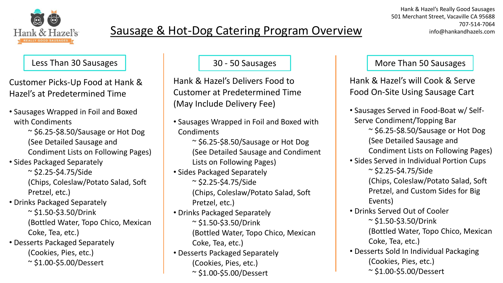

Customer Picks-Up Food at Hank & Hazel's at Predetermined Time

- Sausages Wrapped in Foil and Boxed with Condiments
	- $\sim$  \$6.25-\$8.50/Sausage or Hot Dog (See Detailed Sausage and
	- Condiment Lists on Following Pages)
- Sides Packaged Separately
	- $\sim$  \$2.25-\$4.75/Side (Chips, Coleslaw/Potato Salad, Soft Pretzel, etc.)
- Drinks Packaged Separately
	- $\sim$  \$1.50-\$3.50/Drink (Bottled Water, Topo Chico, Mexican Coke, Tea, etc.)
- Desserts Packaged Separately
	- (Cookies, Pies, etc.)
	- ~ \$1.00-\$5.00/Dessert

Hank & Hazel's Delivers Food to Customer at Predetermined Time (May Include Delivery Fee)

- Sausages Wrapped in Foil and Boxed with **Condiments** 
	- ~ \$6.25-\$8.50/Sausage or Hot Dog (See Detailed Sausage and Condiment Lists on Following Pages)
- Sides Packaged Separately  $\sim$  \$2.25-\$4.75/Side (Chips, Coleslaw/Potato Salad, Soft Pretzel, etc.)
- Drinks Packaged Separately  $\sim$  \$1.50-\$3.50/Drink (Bottled Water, Topo Chico, Mexican Coke, Tea, etc.)
- Desserts Packaged Separately (Cookies, Pies, etc.) ~ \$1.00-\$5.00/Dessert

# Less Than 30 Sausages 30 - 50 Sausages More Than 50 Sausages

Hank & Hazel's will Cook & Serve Food On-Site Using Sausage Cart

• Sausages Served in Food-Boat w/ Self-Serve Condiment/Topping Bar ~ \$6.25-\$8.50/Sausage or Hot Dog (See Detailed Sausage and Condiment Lists on Following Pages) • Sides Served in Individual Portion Cups  $\approx$  \$2.25-\$4.75/Side (Chips, Coleslaw/Potato Salad, Soft Pretzel, and Custom Sides for Big Events) • Drinks Served Out of Cooler  $\sim$  \$1.50-\$3.50/Drink (Bottled Water, Topo Chico, Mexican Coke, Tea, etc.) • Desserts Sold In Individual Packaging (Cookies, Pies, etc.)

~ \$1.00-\$5.00/Dessert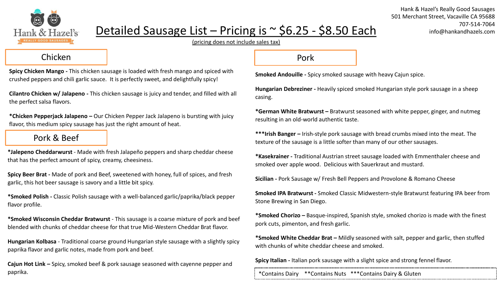

# Detailed Sausage List – Pricing is  $\sim$  \$6.25 - \$8.50 Each

Hank & Hazel's Really Good Sausages 501 Merchant Street, Vacaville CA 95688 707-514-7064 info@hankandhazels.com

(pricing does not include sales tax)

#### Chicken

**Spicy Chicken Mango -** This chicken sausage is loaded with fresh mango and spiced with crushed peppers and chili garlic sauce. It is perfectly sweet, and delightfully spicy!

**Cilantro Chicken w/ Jalapeno -** This chicken sausage is juicy and tender, and filled with all the perfect salsa flavors.

**\*Chicken Pepperjack Jalapeno –** Our Chicken Pepper Jack Jalapeno is bursting with juicy flavor, this medium spicy sausage has just the right amount of heat.

## Pork & Beef

**\*Jalepeno Cheddarwurst** - Made with fresh Jalapeño peppers and sharp cheddar cheese that has the perfect amount of spicy, creamy, cheesiness.

**Spicy Beer Brat -** Made of pork and Beef, sweetened with honey, full of spices, and fresh garlic, this hot beer sausage is savory and a little bit spicy.

**\*Smoked Polish -** Classic Polish sausage with a well-balanced garlic/paprika/black pepper flavor profile.

**\*Smoked Wisconsin Cheddar Bratwurst** - This sausage is a coarse mixture of pork and beef blended with chunks of cheddar cheese for that true Mid-Western Cheddar Brat flavor.

**Hungarian Kolbasa** - Traditional coarse ground Hungarian style sausage with a slightly spicy paprika flavor and garlic notes, made from pork and beef.

**Cajun Hot Link –** Spicy, smoked beef & pork sausage seasoned with cayenne pepper and paprika. The same of the set of the set of the set of the set of the set of the set of the set of the set of the set of the set of the set of the set of the set of the set of the set of the set of the set of the set of the

#### Pork

**Smoked Andouille -** Spicy smoked sausage with heavy Cajun spice.

**Hungarian Debreziner -** Heavily spiced smoked Hungarian style pork sausage in a sheep casing.

**\*German White Bratwurst –** Bratwurst seasoned with white pepper, ginger, and nutmeg resulting in an old-world authentic taste.

**\*\*\*Irish Banger –** Irish-style pork sausage with bread crumbs mixed into the meat. The texture of the sausage is a little softer than many of our other sausages.

**\*Kasekrainer -** Traditional Austrian street sausage loaded with Emmenthaler cheese and smoked over apple wood. Delicious with Sauerkraut and mustard.

**Sicilian -** Pork Sausage w/ Fresh Bell Peppers and Provolone & Romano Cheese

**Smoked IPA Bratwurst -** Smoked Classic Midwestern-style Bratwurst featuring IPA beer from Stone Brewing in San Diego.

**\*Smoked Chorizo –** Basque-inspired, Spanish style, smoked chorizo is made with the finest pork cuts, pimenton, and fresh garlic.

**\*Smoked White Cheddar Brat –** Mildly seasoned with salt, pepper and garlic, then stuffed with chunks of white cheddar cheese and smoked.

**Spicy Italian -** Italian pork sausage with a slight spice and strong fennel flavor.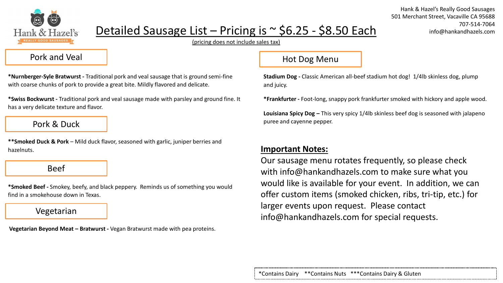

# Detailed Sausage List – Pricing is  $\sim$  \$6.25 - \$8.50 Each

Hank & Hazel's Really Good Sausages 501 Merchant Street, Vacaville CA 95688 707-514-7064 info@hankandhazels.com

(pricing does not include sales tax)

#### Pork and Veal

**\*Nurnberger-Syle Bratwurst -** Traditional pork and veal sausage that is ground semi-fine with coarse chunks of pork to provide a great bite. Mildly flavored and delicate.

**\*Swiss Bockwurst -** Traditional pork and veal sausage made with parsley and ground fine. It has a very delicate texture and flavor.

### Pork & Duck

**\*\*Smoked Duck & Pork** – Mild duck flavor, seasoned with garlic, juniper berries and hazelnuts.

Beef

**\*Smoked Beef -** Smokey, beefy, and black peppery. Reminds us of something you would find in a smokehouse down in Texas.

#### Vegetarian

**Vegetarian Beyond Meat – Bratwurst -** Vegan Bratwurst made with pea proteins.

### Hot Dog Menu

**Stadium Dog -** Classic American all-beef stadium hot dog! 1/4lb skinless dog, plump and juicy.

**\*Frankfurter -** Foot-long, snappy pork frankfurter smoked with hickory and apple wood.

**Louisiana Spicy Dog –** This very spicy 1/4lb skinless beef dog is seasoned with jalapeno puree and cayenne pepper.

## **Important Notes:**

Our sausage menu rotates frequently, so please check with info@hankandhazels.com to make sure what you would like is available for your event. In addition, we can offer custom items (smoked chicken, ribs, tri-tip, etc.) for larger events upon request. Please contact info@hankandhazels.com for special requests.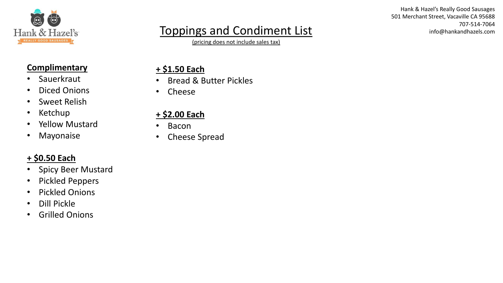

# Toppings and Condiment List

(pricing does not include sales tax)

Hank & Hazel's Really Good Sausages 501 Merchant Street, Vacaville CA 95688 707-514-7064 info@hankandhazels.com

## **Complimentary**

- Sauerkraut
- Diced Onions
- Sweet Relish
- Ketchup
- Yellow Mustard
- Mayonaise

# **+ \$0.50 Each**

- Spicy Beer Mustard
- Pickled Peppers
- Pickled Onions
- Dill Pickle
- Grilled Onions

# **+ \$1.50 Each**

- Bread & Butter Pickles
- Cheese

# **+ \$2.00 Each**

- Bacon
- Cheese Spread